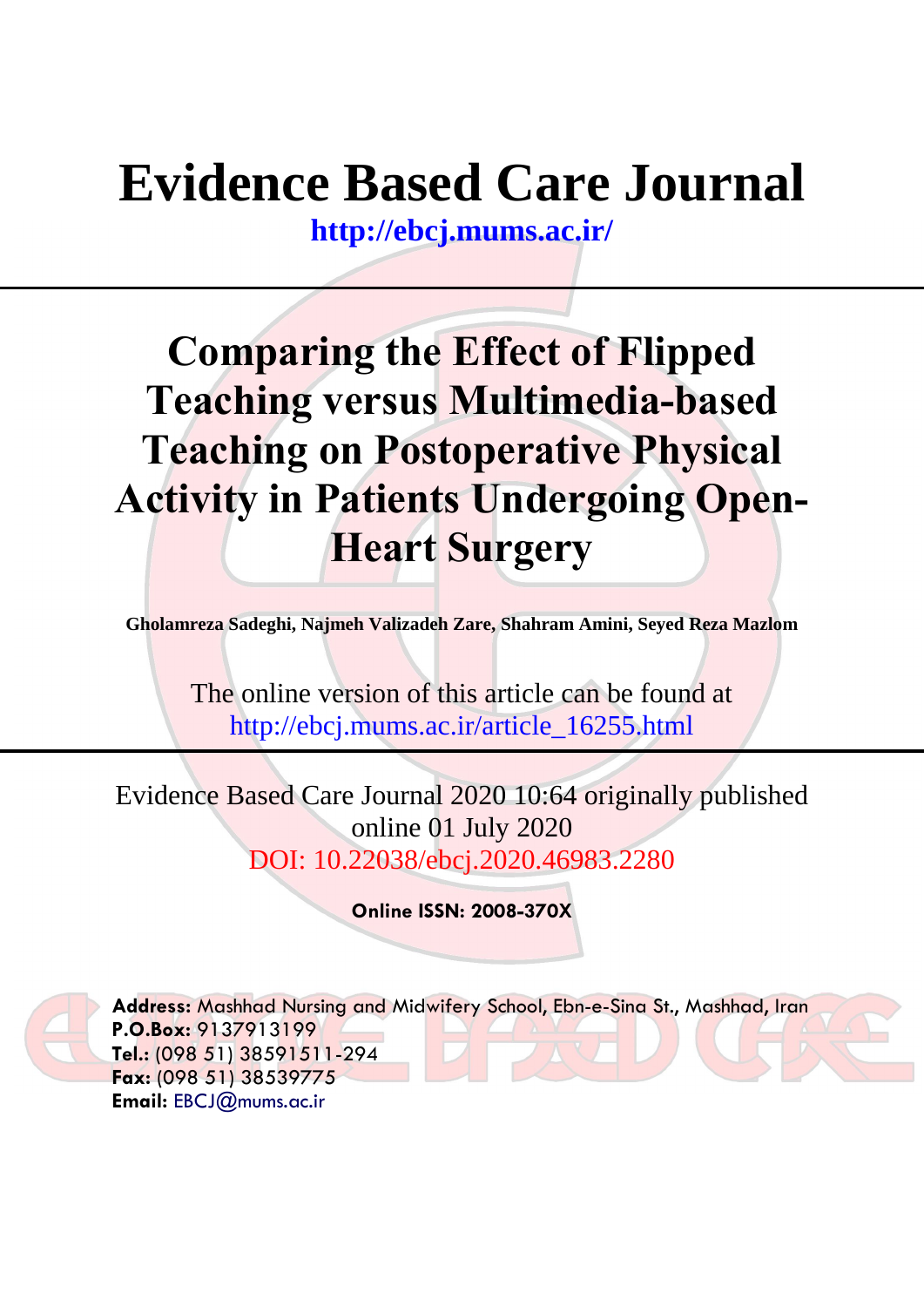# **Evidence Based Care Journal**

**<http://ebcj.mums.ac.ir/>**

# **Comparing the Effect of Flipped Teaching versus Multimedia-based Teaching on Postoperative Physical Activity in Patients Undergoing Open-Heart Surgery**

**Gholamreza Sadeghi, Najmeh Valizadeh Zare, Shahram Amini, Seyed Reza Mazlom**

The online version of this article can be found at http://ebcj.mums.ac.ir/article\_16255.html

Evidence Based Care Journal 2020 10:64 originally published online 01 July 2020 DOI: 10.22038/ebcj.2020.46983.2280

**Online ISSN: 2008-370X**



**Address:** Mashhad Nursing and Midwifery School, Ebn-e-Sina St., Mashhad, Iran **P.O.Box:** 9137913199 **Tel.:** (098 51) 38591511-294 **Fax:** (098 51) 38539775 **Email:** [EBCJ@mums.ac.ir](mailto:EBCJ@mums.ac.ir)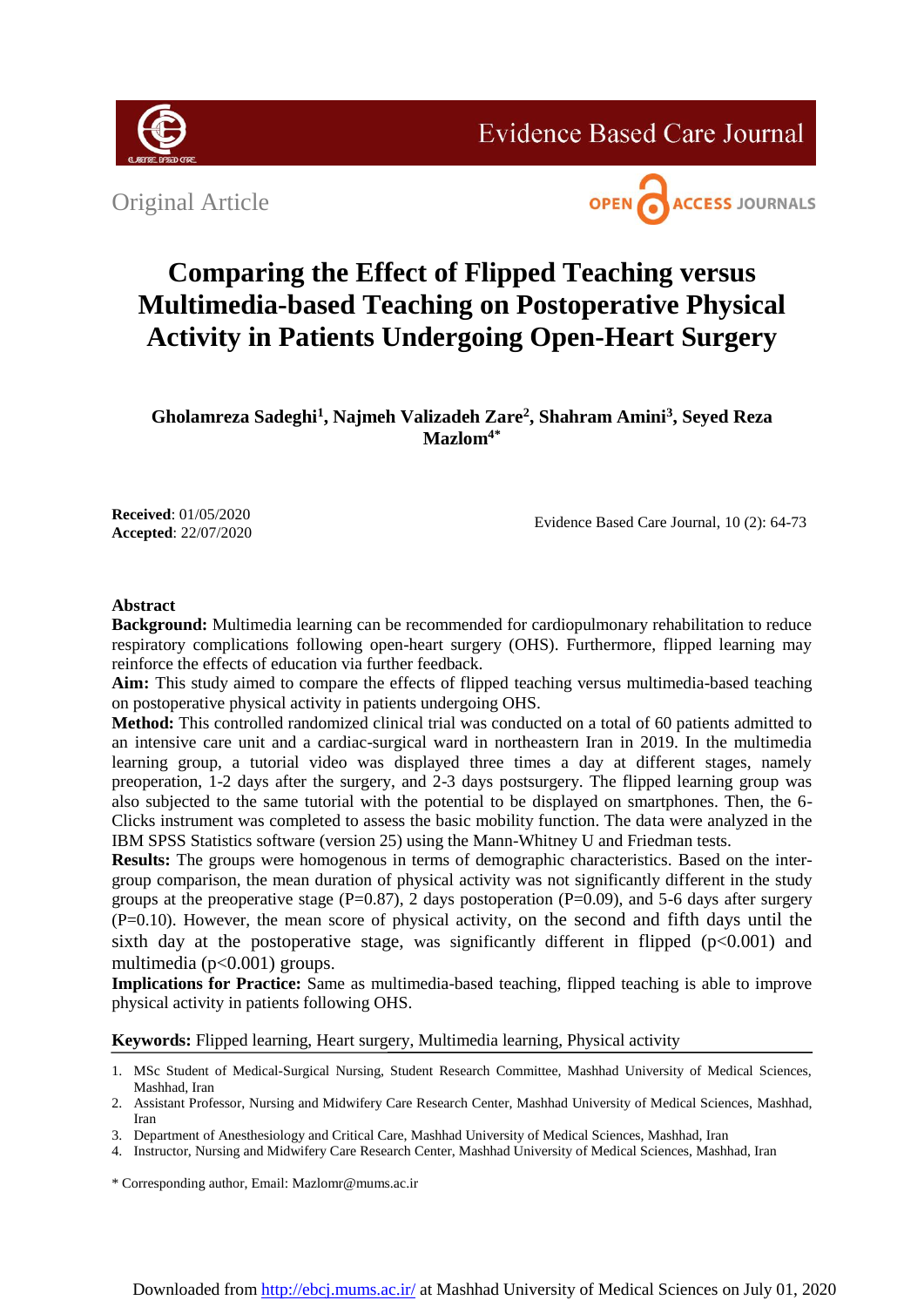

**Evidence Based Care Journal** 

Original Article



# **Comparing the Effect of Flipped Teaching versus Multimedia-based Teaching on Postoperative Physical Activity in Patients Undergoing Open-Heart Surgery**

**Gholamreza Sadeghi<sup>1</sup> , Najmeh Valizadeh Zare<sup>2</sup> , Shahram Amini<sup>3</sup> , Seyed Reza Mazlom4\***

**Received**: 01/05/2020 **Accepted**: 22/07/2020

Evidence Based Care Journal, 10 (2): 64-73

# **Abstract**

**Background:** Multimedia learning can be recommended for cardiopulmonary rehabilitation to reduce respiratory complications following open-heart surgery (OHS). Furthermore, flipped learning may reinforce the effects of education via further feedback.

**Aim:** This study aimed to compare the effects of flipped teaching versus multimedia-based teaching on postoperative physical activity in patients undergoing OHS.

**Method:** This controlled randomized clinical trial was conducted on a total of 60 patients admitted to an intensive care unit and a cardiac-surgical ward in northeastern Iran in 2019. In the multimedia learning group, a tutorial video was displayed three times a day at different stages, namely preoperation, 1-2 days after the surgery, and 2-3 days postsurgery. The flipped learning group was also subjected to the same tutorial with the potential to be displayed on smartphones. Then, the 6- Clicks instrument was completed to assess the basic mobility function. The data were analyzed in the IBM SPSS Statistics software (version 25) using the Mann-Whitney U and Friedman tests.

**Results:** The groups were homogenous in terms of demographic characteristics. Based on the intergroup comparison, the mean duration of physical activity was not significantly different in the study groups at the preoperative stage ( $P=0.87$ ), 2 days postoperation ( $P=0.09$ ), and 5-6 days after surgery (P=0.10). However, the mean score of physical activity, on the second and fifth days until the sixth day at the postoperative stage, was significantly different in flipped  $(p<0.001)$  and multimedia (p<0.001) groups.

**Implications for Practice:** Same as multimedia-based teaching, flipped teaching is able to improve physical activity in patients following OHS.

**Keywords:** Flipped learning, Heart surgery, Multimedia learning, Physical activity

- 1. MSc Student of Medical-Surgical Nursing, Student Research Committee, Mashhad University of Medical Sciences, Mashhad, Iran
- 2. Assistant Professor, Nursing and Midwifery Care Research Center, Mashhad University of Medical Sciences, Mashhad, Iran
- 3. Department of Anesthesiology and Critical Care, Mashhad University of Medical Sciences, Mashhad, Iran
- 4. Instructor, Nursing and Midwifery Care Research Center, Mashhad University of Medical Sciences, Mashhad, Iran

\* Corresponding author, Email: Mazlomr@mums.ac.ir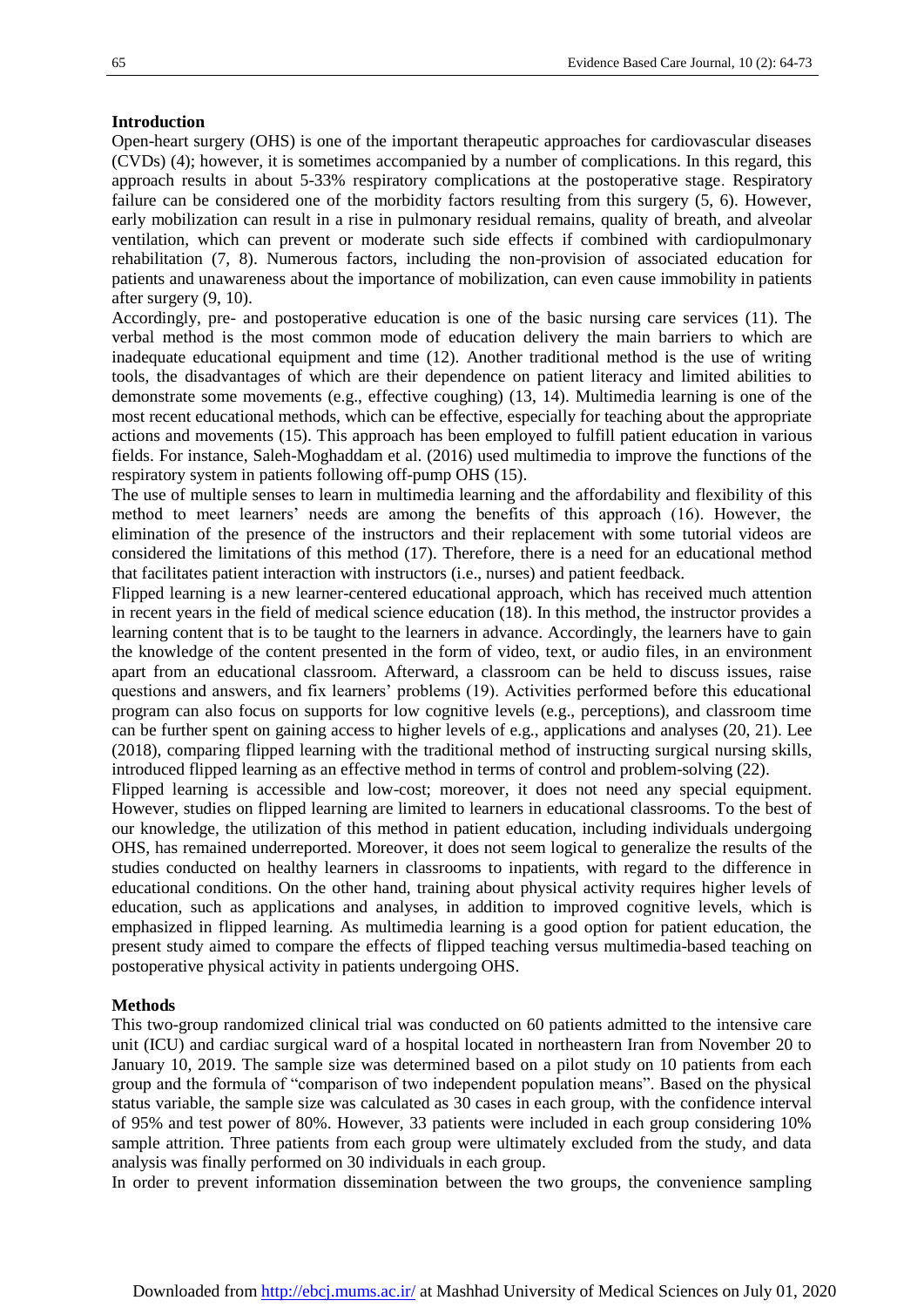### **Introduction**

Open-heart surgery (OHS) is one of the important therapeutic approaches for cardiovascular diseases (CVDs) (4); however, it is sometimes accompanied by a number of complications. In this regard, this approach results in about 5-33% respiratory complications at the postoperative stage. Respiratory failure can be considered one of the morbidity factors resulting from this surgery (5, 6). However, early mobilization can result in a rise in pulmonary residual remains, quality of breath, and alveolar ventilation, which can prevent or moderate such side effects if combined with cardiopulmonary rehabilitation (7, 8). Numerous factors, including the non-provision of associated education for patients and unawareness about the importance of mobilization, can even cause immobility in patients after surgery (9, 10).

Accordingly, pre- and postoperative education is one of the basic nursing care services (11). The verbal method is the most common mode of education delivery the main barriers to which are inadequate educational equipment and time (12). Another traditional method is the use of writing tools, the disadvantages of which are their dependence on patient literacy and limited abilities to demonstrate some movements (e.g., effective coughing) (13, 14). Multimedia learning is one of the most recent educational methods, which can be effective, especially for teaching about the appropriate actions and movements (15). This approach has been employed to fulfill patient education in various fields. For instance, Saleh-Moghaddam et al. (2016) used multimedia to improve the functions of the respiratory system in patients following off-pump OHS (15).

The use of multiple senses to learn in multimedia learning and the affordability and flexibility of this method to meet learners' needs are among the benefits of this approach (16). However, the elimination of the presence of the instructors and their replacement with some tutorial videos are considered the limitations of this method (17). Therefore, there is a need for an educational method that facilitates patient interaction with instructors (i.e., nurses) and patient feedback.

Flipped learning is a new learner-centered educational approach, which has received much attention in recent years in the field of medical science education (18). In this method, the instructor provides a learning content that is to be taught to the learners in advance. Accordingly, the learners have to gain the knowledge of the content presented in the form of video, text, or audio files, in an environment apart from an educational classroom. Afterward, a classroom can be held to discuss issues, raise questions and answers, and fix learners' problems (19). Activities performed before this educational program can also focus on supports for low cognitive levels (e.g., perceptions), and classroom time can be further spent on gaining access to higher levels of e.g., applications and analyses (20, 21). Lee (2018), comparing flipped learning with the traditional method of instructing surgical nursing skills, introduced flipped learning as an effective method in terms of control and problem-solving (22).

Flipped learning is accessible and low-cost; moreover, it does not need any special equipment. However, studies on flipped learning are limited to learners in educational classrooms. To the best of our knowledge, the utilization of this method in patient education, including individuals undergoing OHS, has remained underreported. Moreover, it does not seem logical to generalize the results of the studies conducted on healthy learners in classrooms to inpatients, with regard to the difference in educational conditions. On the other hand, training about physical activity requires higher levels of education, such as applications and analyses, in addition to improved cognitive levels, which is emphasized in flipped learning. As multimedia learning is a good option for patient education, the present study aimed to compare the effects of flipped teaching versus multimedia-based teaching on postoperative physical activity in patients undergoing OHS.

#### **Methods**

This two-group randomized clinical trial was conducted on 60 patients admitted to the intensive care unit (ICU) and cardiac surgical ward of a hospital located in northeastern Iran from November 20 to January 10, 2019. The sample size was determined based on a pilot study on 10 patients from each group and the formula of "comparison of two independent population means". Based on the physical status variable, the sample size was calculated as 30 cases in each group, with the confidence interval of 95% and test power of 80%. However, 33 patients were included in each group considering 10% sample attrition. Three patients from each group were ultimately excluded from the study, and data analysis was finally performed on 30 individuals in each group.

In order to prevent information dissemination between the two groups, the convenience sampling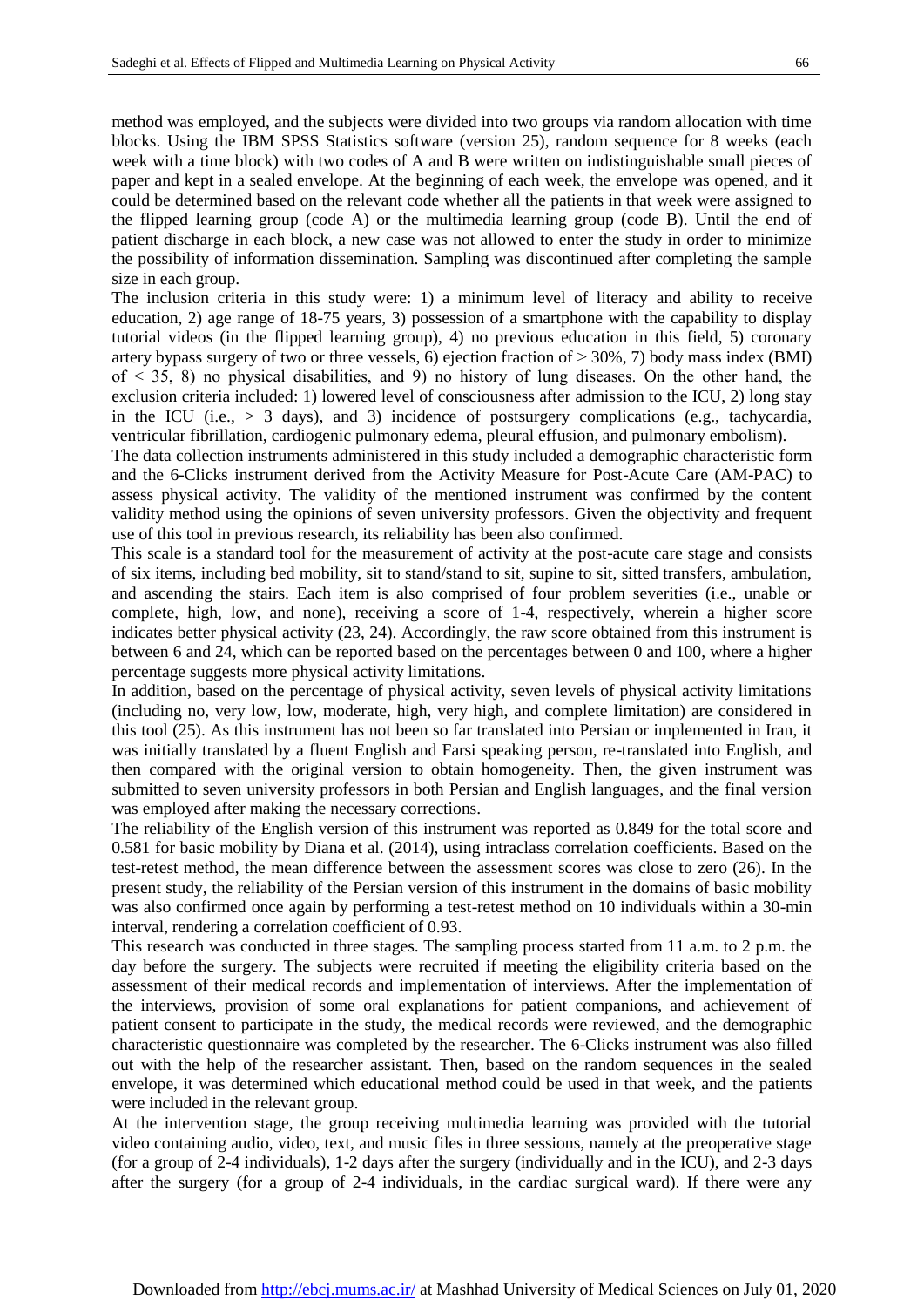patient discharge in each block, a new case was not allowed to enter the study in order to minimize the possibility of information dissemination. Sampling was discontinued after completing the sample size in each group. The inclusion criteria in this study were: 1) a minimum level of literacy and ability to receive education, 2) age range of 18-75 years, 3) possession of a smartphone with the capability to display tutorial videos (in the flipped learning group), 4) no previous education in this field, 5) coronary artery bypass surgery of two or three vessels, 6) ejection fraction of  $> 30\%$ , 7) body mass index (BMI)

of  $\leq$  35, 8) no physical disabilities, and 9) no history of lung diseases. On the other hand, the exclusion criteria included: 1) lowered level of consciousness after admission to the ICU, 2) long stay in the ICU (i.e.,  $> 3$  days), and 3) incidence of postsurgery complications (e.g., tachycardia, ventricular fibrillation, cardiogenic pulmonary edema, pleural effusion, and pulmonary embolism).

The data collection instruments administered in this study included a demographic characteristic form and the 6-Clicks instrument derived from the Activity Measure for Post-Acute Care (AM-PAC) to assess physical activity. The validity of the mentioned instrument was confirmed by the content validity method using the opinions of seven university professors. Given the objectivity and frequent use of this tool in previous research, its reliability has been also confirmed.

This scale is a standard tool for the measurement of activity at the post-acute care stage and consists of six items, including bed mobility, sit to stand/stand to sit, supine to sit, sitted transfers, ambulation, and ascending the stairs. Each item is also comprised of four problem severities (i.e., unable or complete, high, low, and none), receiving a score of 1-4, respectively, wherein a higher score indicates better physical activity (23, 24). Accordingly, the raw score obtained from this instrument is between 6 and 24, which can be reported based on the percentages between 0 and 100, where a higher percentage suggests more physical activity limitations.

In addition, based on the percentage of physical activity, seven levels of physical activity limitations (including no, very low, low, moderate, high, very high, and complete limitation) are considered in this tool (25). As this instrument has not been so far translated into Persian or implemented in Iran, it was initially translated by a fluent English and Farsi speaking person, re-translated into English, and then compared with the original version to obtain homogeneity. Then, the given instrument was submitted to seven university professors in both Persian and English languages, and the final version was employed after making the necessary corrections.

The reliability of the English version of this instrument was reported as 0.849 for the total score and 0.581 for basic mobility by Diana et al. (2014), using intraclass correlation coefficients. Based on the test-retest method, the mean difference between the assessment scores was close to zero (26). In the present study, the reliability of the Persian version of this instrument in the domains of basic mobility was also confirmed once again by performing a test-retest method on 10 individuals within a 30-min interval, rendering a correlation coefficient of 0.93.

This research was conducted in three stages. The sampling process started from 11 a.m. to 2 p.m. the day before the surgery. The subjects were recruited if meeting the eligibility criteria based on the assessment of their medical records and implementation of interviews. After the implementation of the interviews, provision of some oral explanations for patient companions, and achievement of patient consent to participate in the study, the medical records were reviewed, and the demographic characteristic questionnaire was completed by the researcher. The 6-Clicks instrument was also filled out with the help of the researcher assistant. Then, based on the random sequences in the sealed envelope, it was determined which educational method could be used in that week, and the patients were included in the relevant group.

At the intervention stage, the group receiving multimedia learning was provided with the tutorial video containing audio, video, text, and music files in three sessions, namely at the preoperative stage (for a group of 2-4 individuals), 1-2 days after the surgery (individually and in the ICU), and 2-3 days after the surgery (for a group of 2-4 individuals, in the cardiac surgical ward). If there were any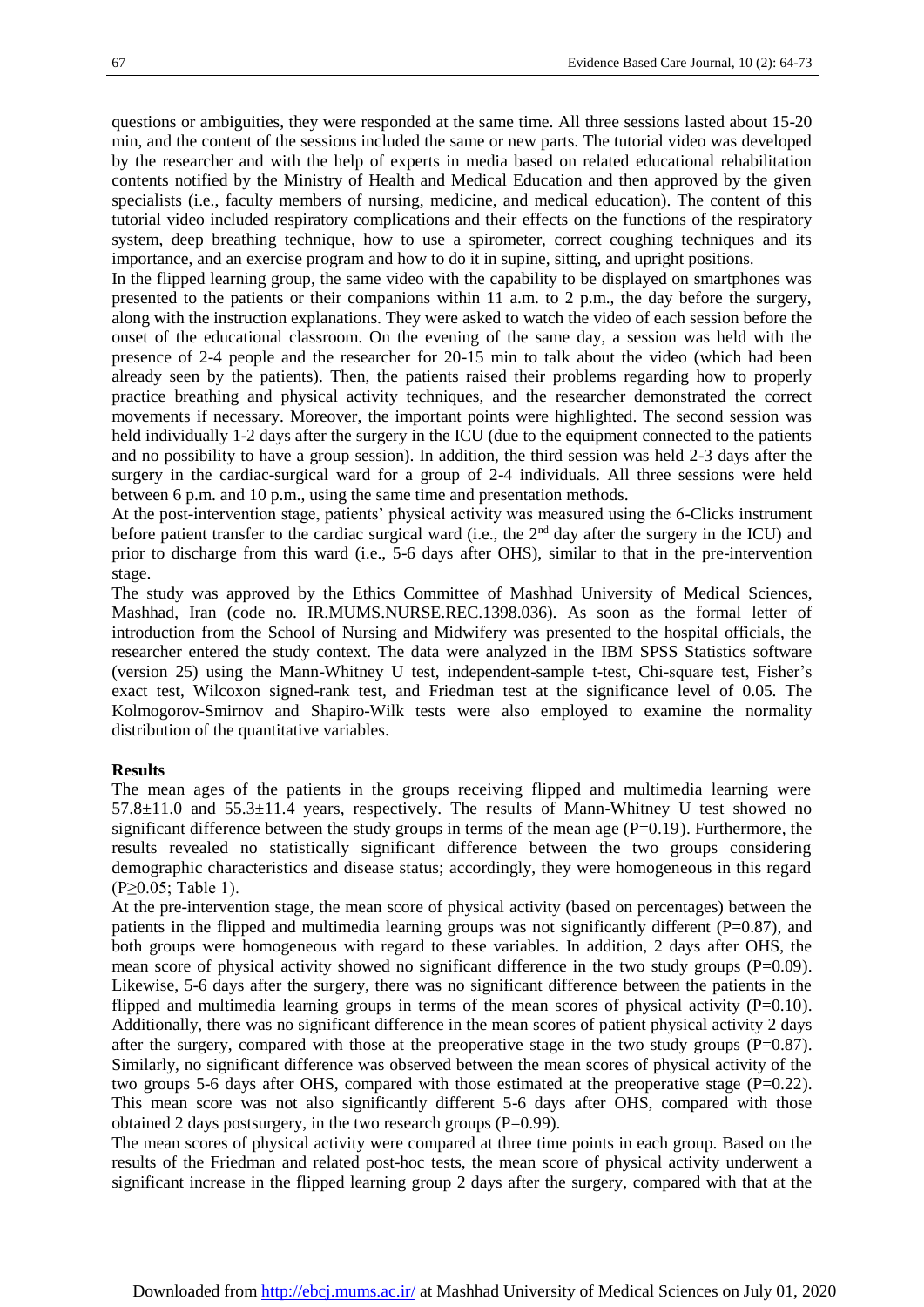questions or ambiguities, they were responded at the same time. All three sessions lasted about 15-20 min, and the content of the sessions included the same or new parts. The tutorial video was developed by the researcher and with the help of experts in media based on related educational rehabilitation contents notified by the Ministry of Health and Medical Education and then approved by the given specialists (i.e., faculty members of nursing, medicine, and medical education). The content of this tutorial video included respiratory complications and their effects on the functions of the respiratory system, deep breathing technique, how to use a spirometer, correct coughing techniques and its importance, and an exercise program and how to do it in supine, sitting, and upright positions.

In the flipped learning group, the same video with the capability to be displayed on smartphones was presented to the patients or their companions within 11 a.m. to 2 p.m., the day before the surgery, along with the instruction explanations. They were asked to watch the video of each session before the onset of the educational classroom. On the evening of the same day, a session was held with the presence of 2-4 people and the researcher for 20-15 min to talk about the video (which had been already seen by the patients). Then, the patients raised their problems regarding how to properly practice breathing and physical activity techniques, and the researcher demonstrated the correct movements if necessary. Moreover, the important points were highlighted. The second session was held individually 1-2 days after the surgery in the ICU (due to the equipment connected to the patients and no possibility to have a group session). In addition, the third session was held 2-3 days after the surgery in the cardiac-surgical ward for a group of 2-4 individuals. All three sessions were held between 6 p.m. and 10 p.m., using the same time and presentation methods.

At the post-intervention stage, patients' physical activity was measured using the 6-Clicks instrument before patient transfer to the cardiac surgical ward (i.e., the 2<sup>nd</sup> day after the surgery in the ICU) and prior to discharge from this ward (i.e., 5-6 days after OHS), similar to that in the pre-intervention stage.

The study was approved by the Ethics Committee of Mashhad University of Medical Sciences, Mashhad, Iran (code no. IR.MUMS.NURSE.REC.1398.036). As soon as the formal letter of introduction from the School of Nursing and Midwifery was presented to the hospital officials, the researcher entered the study context. The data were analyzed in the IBM SPSS Statistics software (version 25) using the Mann-Whitney U test, independent-sample t-test, Chi-square test, Fisher's exact test, Wilcoxon signed-rank test, and Friedman test at the significance level of 0.05. The Kolmogorov-Smirnov and Shapiro-Wilk tests were also employed to examine the normality distribution of the quantitative variables.

#### **Results**

The mean ages of the patients in the groups receiving flipped and multimedia learning were  $57.8 \pm 11.0$  and  $55.3 \pm 11.4$  years, respectively. The results of Mann-Whitney U test showed no significant difference between the study groups in terms of the mean age  $(P=0.19)$ . Furthermore, the results revealed no statistically significant difference between the two groups considering demographic characteristics and disease status; accordingly, they were homogeneous in this regard (P≥0.05; Table 1).

At the pre-intervention stage, the mean score of physical activity (based on percentages) between the patients in the flipped and multimedia learning groups was not significantly different  $(P=0.87)$ , and both groups were homogeneous with regard to these variables. In addition, 2 days after OHS, the mean score of physical activity showed no significant difference in the two study groups  $(P=0.09)$ . Likewise, 5-6 days after the surgery, there was no significant difference between the patients in the flipped and multimedia learning groups in terms of the mean scores of physical activity  $(P=0.10)$ . Additionally, there was no significant difference in the mean scores of patient physical activity 2 days after the surgery, compared with those at the preoperative stage in the two study groups  $(P=0.87)$ . Similarly, no significant difference was observed between the mean scores of physical activity of the two groups 5-6 days after OHS, compared with those estimated at the preoperative stage  $(P=0.22)$ . This mean score was not also significantly different 5-6 days after OHS, compared with those obtained 2 days postsurgery, in the two research groups (P=0.99).

The mean scores of physical activity were compared at three time points in each group. Based on the results of the Friedman and related post-hoc tests, the mean score of physical activity underwent a significant increase in the flipped learning group 2 days after the surgery, compared with that at the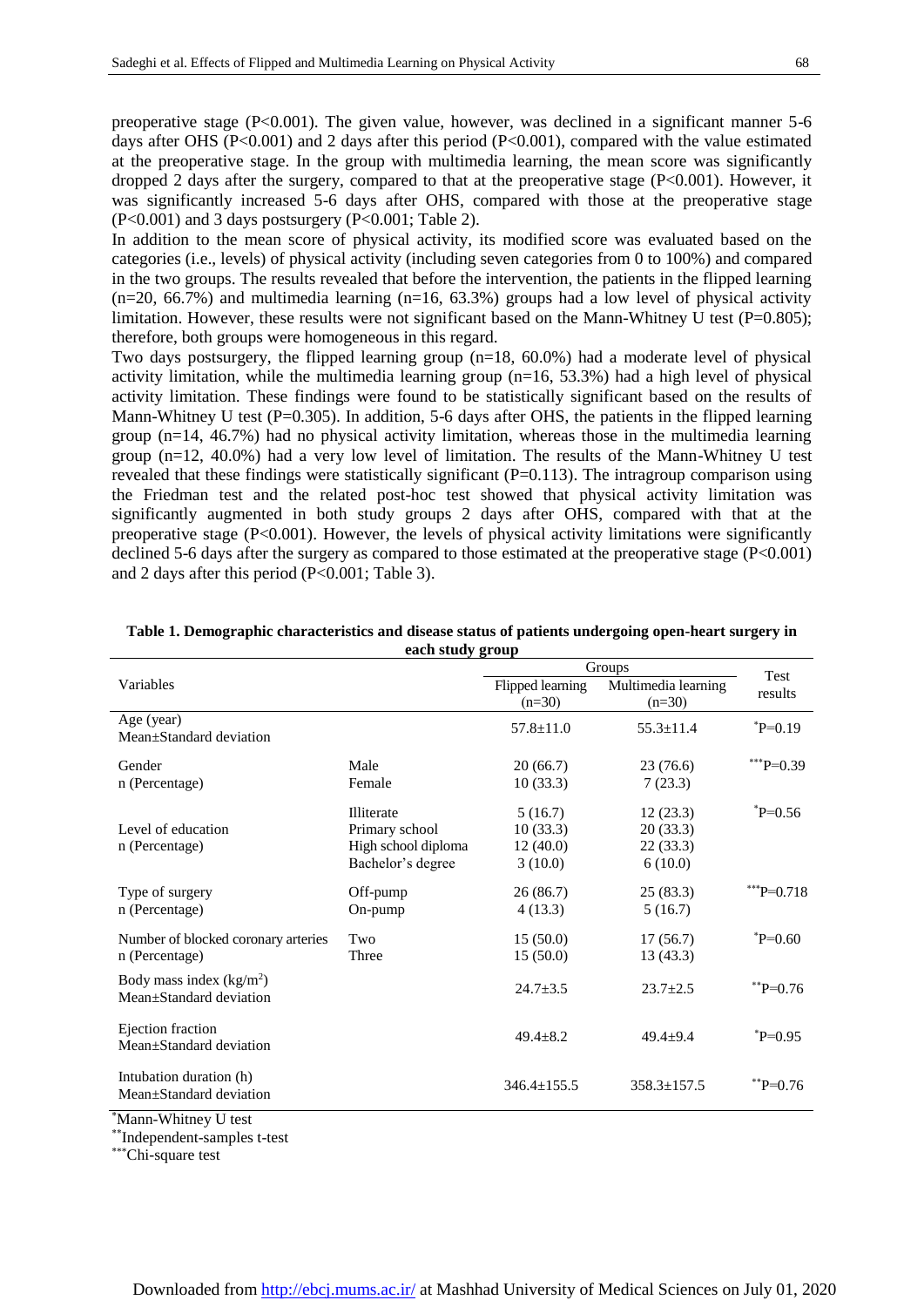preoperative stage (P<0.001). The given value, however, was declined in a significant manner 5-6 days after OHS (P<0.001) and 2 days after this period (P<0.001), compared with the value estimated at the preoperative stage. In the group with multimedia learning, the mean score was significantly dropped 2 days after the surgery, compared to that at the preoperative stage  $(P< 0.001)$ . However, it was significantly increased 5-6 days after OHS, compared with those at the preoperative stage (P<0.001) and 3 days postsurgery (P<0.001; Table 2).

In addition to the mean score of physical activity, its modified score was evaluated based on the categories (i.e., levels) of physical activity (including seven categories from 0 to 100%) and compared in the two groups. The results revealed that before the intervention, the patients in the flipped learning  $(n=20, 66.7%)$  and multimedia learning  $(n=16, 63.3%)$  groups had a low level of physical activity limitation. However, these results were not significant based on the Mann-Whitney U test ( $P=0.805$ ); therefore, both groups were homogeneous in this regard.

Two days postsurgery, the flipped learning group (n=18, 60.0%) had a moderate level of physical activity limitation, while the multimedia learning group (n=16, 53.3%) had a high level of physical activity limitation. These findings were found to be statistically significant based on the results of Mann-Whitney U test (P=0.305). In addition, 5-6 days after OHS, the patients in the flipped learning group  $(n=14, 46.7%)$  had no physical activity limitation, whereas those in the multimedia learning group (n=12, 40.0%) had a very low level of limitation. The results of the Mann-Whitney U test revealed that these findings were statistically significant (P=0.113). The intragroup comparison using the Friedman test and the related post-hoc test showed that physical activity limitation was significantly augmented in both study groups 2 days after OHS, compared with that at the preoperative stage (P<0.001). However, the levels of physical activity limitations were significantly declined 5-6 days after the surgery as compared to those estimated at the preoperative stage (P<0.001) and 2 days after this period (P<0.001; Table 3).

|                                                      |                     | Groups                       |                                 |                 |  |
|------------------------------------------------------|---------------------|------------------------------|---------------------------------|-----------------|--|
| Variables                                            |                     | Flipped learning<br>$(n=30)$ | Multimedia learning<br>$(n=30)$ | Test<br>results |  |
| Age (year)                                           |                     | $57.8 + 11.0$                | $55.3 + 11.4$                   | $^*P=0.19$      |  |
| Mean+Standard deviation                              |                     |                              |                                 |                 |  |
| Gender                                               | Male                | 20(66.7)                     | 23(76.6)                        | *** $P=0.39$    |  |
| n (Percentage)                                       | Female              | 10(33.3)                     | 7(23.3)                         |                 |  |
|                                                      | <b>Illiterate</b>   | 5(16.7)                      | 12(23.3)                        | $^*P=0.56$      |  |
| Level of education                                   | Primary school      | 10(33.3)                     | 20(33.3)                        |                 |  |
| n (Percentage)                                       | High school diploma | 12(40.0)                     | 22(33.3)                        |                 |  |
|                                                      | Bachelor's degree   | 3(10.0)                      | 6(10.0)                         |                 |  |
| Type of surgery                                      | Off-pump            | 26(86.7)                     | 25(83.3)                        | $^*P=0.718$     |  |
| n (Percentage)                                       | On-pump             | 4(13.3)                      | 5(16.7)                         |                 |  |
| Number of blocked coronary arteries                  | Two                 | 15(50.0)                     | 17(56.7)                        | $^*P=0.60$      |  |
| n (Percentage)                                       | Three               | 15(50.0)                     | 13(43.3)                        |                 |  |
| Body mass index $(kg/m2)$<br>Mean+Standard deviation |                     | $24.7 + 3.5$                 | $23.7 + 2.5$                    | $*$ $P=0.76$    |  |
| Ejection fraction<br>Mean±Standard deviation         |                     | $49.4 + 8.2$                 | $49.4 + 9.4$                    | $^*P=0.95$      |  |
| Intubation duration (h)<br>Mean±Standard deviation   |                     | $346.4 \pm 155.5$            | $358.3 \pm 157.5$               | $*$ $P=0.76$    |  |

**Table 1. Demographic characteristics and disease status of patients undergoing open-heart surgery in each study group**

\*Mann-Whitney U test

\*\*Independent-samples t-test

\*\*\*Chi-square test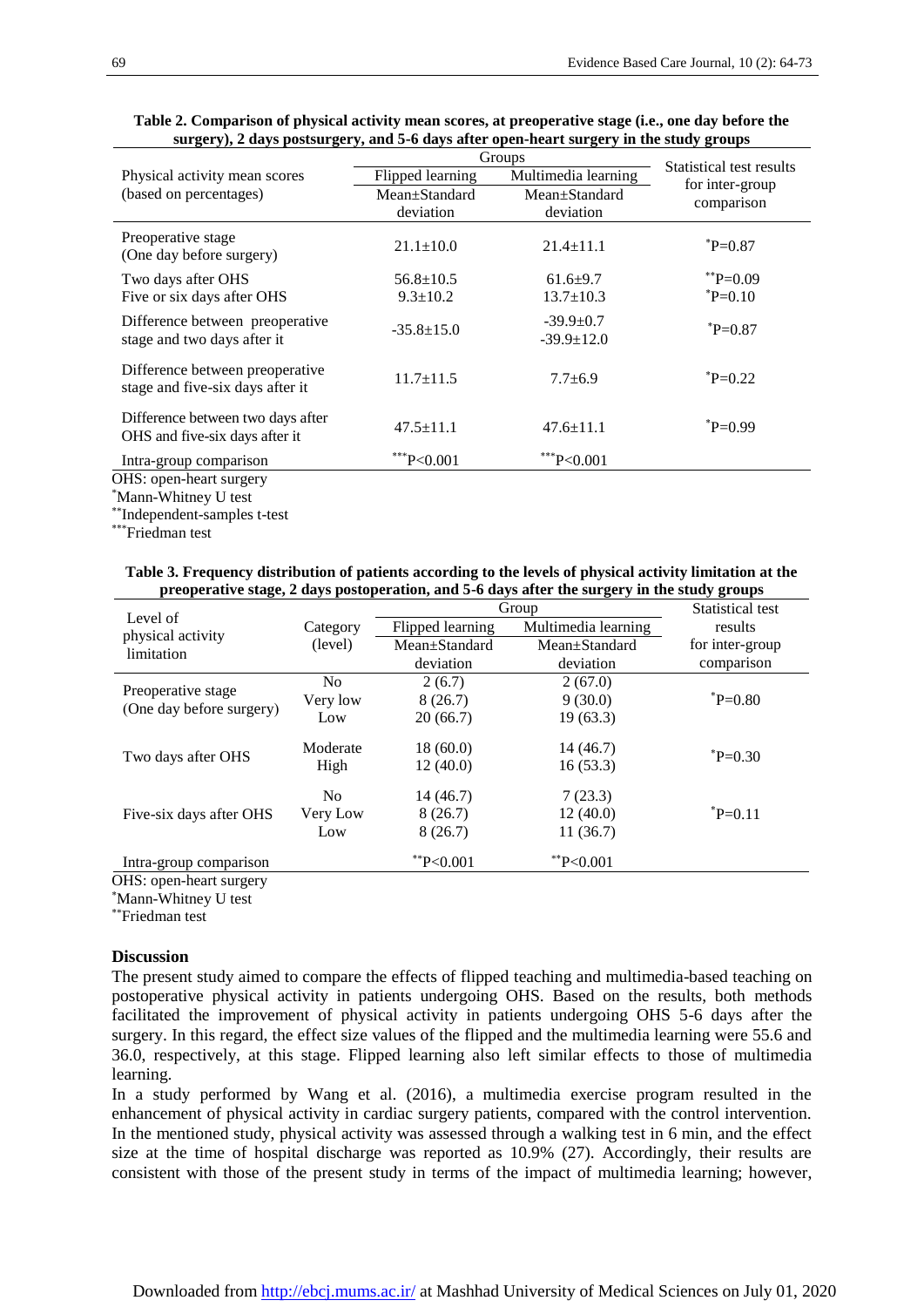|                                                                     | Groups                                  | Statistical test results            |                   |  |
|---------------------------------------------------------------------|-----------------------------------------|-------------------------------------|-------------------|--|
| Physical activity mean scores                                       | Multimedia learning<br>Flipped learning |                                     |                   |  |
| (based on percentages)                                              | Mean±Standard                           | Mean±Standard                       | for inter-group   |  |
|                                                                     | deviation                               | deviation                           | comparison        |  |
| Preoperative stage<br>(One day before surgery)                      | $21.1 \pm 10.0$                         | $21.4 \pm 11.1$                     | $_{\rm ^*P=0.87}$ |  |
| Two days after OHS                                                  | $56.8 \pm 10.5$                         | $61.6+9.7$                          | $*$ $P=0.09$      |  |
| Five or six days after OHS                                          | $9.3 \pm 10.2$                          | $13.7 \pm 10.3$                     | $_{\rm ^*P=0.10}$ |  |
| Difference between preoperative<br>stage and two days after it      | $-35.8 \pm 15.0$                        | $-39.9 \pm 0.7$<br>$-39.9 \pm 12.0$ | $_{\rm ^*P=0.87}$ |  |
| Difference between preoperative<br>stage and five-six days after it | $11.7 \pm 11.5$                         | $7.7 \pm 6.9$                       | $^*P=0.22$        |  |
| Difference between two days after<br>OHS and five-six days after it | $47.5 \pm 11.1$                         | $47.6 \pm 11.1$                     | $_{\rm ^*P=0.99}$ |  |
| Intra-group comparison                                              | $**P<0.001$                             | $**P<0.001$                         |                   |  |
| OHS: open-heart surgery                                             |                                         |                                     |                   |  |
| *Mann-Whitney U test                                                |                                         |                                     |                   |  |

# **Table 2. Comparison of physical activity mean scores, at preoperative stage (i.e., one day before the surgery), 2 days postsurgery, and 5-6 days after open-heart surgery in the study groups**

\*\*\*Friedman test

\*\* Independent-samples t-test

### **Table 3. Frequency distribution of patients according to the levels of physical activity limitation at the preoperative stage, 2 days postoperation, and 5-6 days after the surgery in the study groups**

| Level of<br>physical activity<br>limitation    |                | Group            |                     | Statistical test |  |
|------------------------------------------------|----------------|------------------|---------------------|------------------|--|
|                                                | Category       | Flipped learning | Multimedia learning | results          |  |
|                                                | (level)        | Mean+Standard    | Mean+Standard       | for inter-group  |  |
|                                                |                | deviation        | deviation           | comparison       |  |
| Preoperative stage<br>(One day before surgery) | N <sub>0</sub> | 2(6.7)           | 2(67.0)             |                  |  |
|                                                | Very low       | 8(26.7)          | 9(30.0)             | $P = 0.80$       |  |
|                                                | Low            | 20(66.7)         | 19(63.3)            |                  |  |
| Two days after OHS                             | Moderate       | 18(60.0)         | 14 (46.7)           | ${}^*P=0.30$     |  |
|                                                | High           | 12(40.0)         | 16(53.3)            |                  |  |
| Five-six days after OHS                        | N <sub>0</sub> | 14 (46.7)        | 7(23.3)             |                  |  |
|                                                | Very Low       | 8(26.7)          | 12(40.0)            | $^*P=0.11$       |  |
|                                                | Low            | 8(26.7)          | 11(36.7)            |                  |  |
| Intra-group comparison<br>$\sim$ T T $\sim$    |                | $*$ $P<0.001$    | $*$ P<0.001         |                  |  |

OHS: open-heart surgery

\*Mann-Whitney U test

\*\*Friedman test

# **Discussion**

The present study aimed to compare the effects of flipped teaching and multimedia-based teaching on postoperative physical activity in patients undergoing OHS. Based on the results, both methods facilitated the improvement of physical activity in patients undergoing OHS 5-6 days after the surgery. In this regard, the effect size values of the flipped and the multimedia learning were 55.6 and 36.0, respectively, at this stage. Flipped learning also left similar effects to those of multimedia learning.

In a study performed by Wang et al. (2016), a multimedia exercise program resulted in the enhancement of physical activity in cardiac surgery patients, compared with the control intervention. In the mentioned study, physical activity was assessed through a walking test in 6 min, and the effect size at the time of hospital discharge was reported as 10.9% (27). Accordingly, their results are consistent with those of the present study in terms of the impact of multimedia learning; however,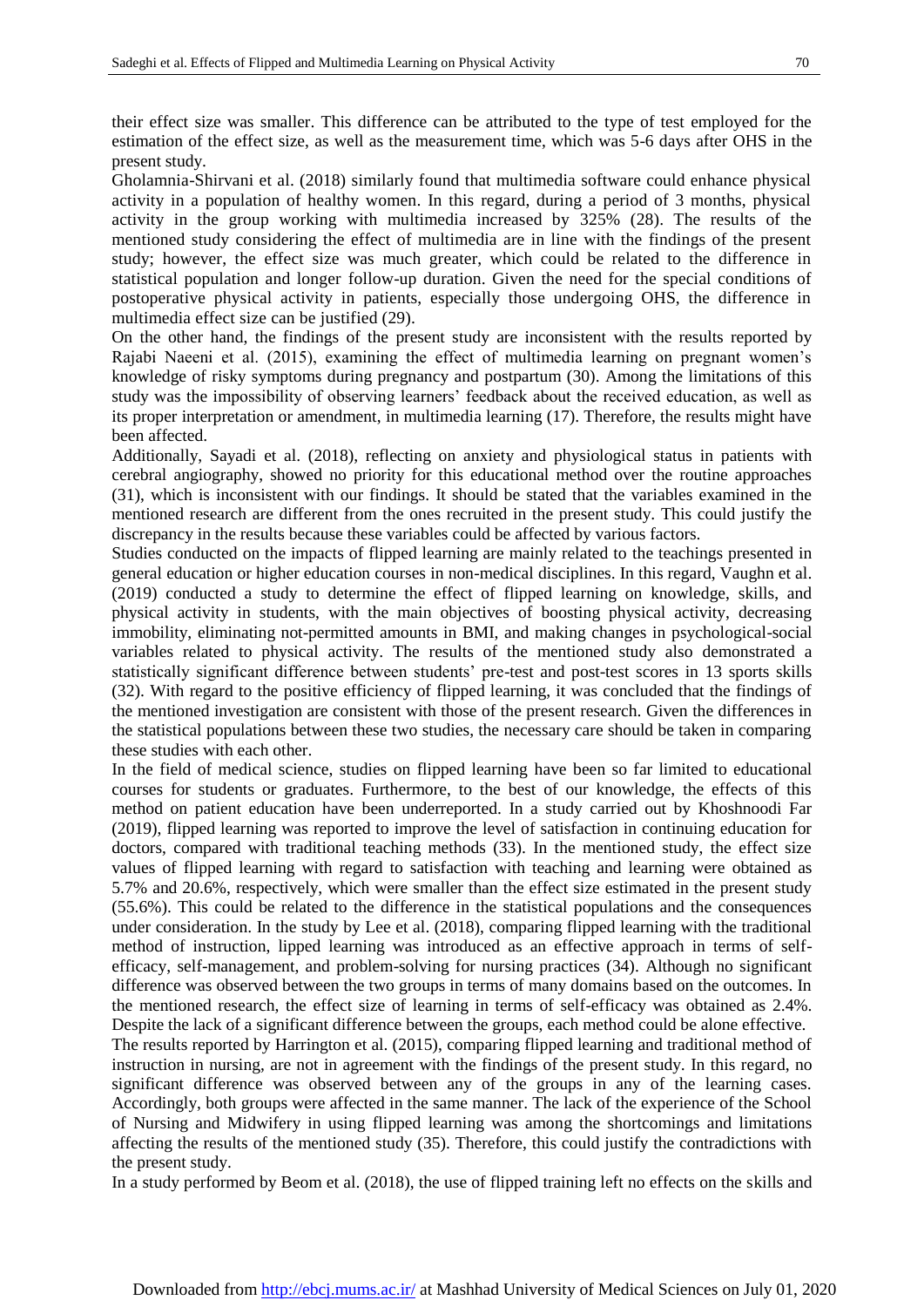their effect size was smaller. This difference can be attributed to the type of test employed for the estimation of the effect size, as well as the measurement time, which was 5-6 days after OHS in the present study.

Gholamnia-Shirvani et al. (2018) similarly found that multimedia software could enhance physical activity in a population of healthy women. In this regard, during a period of 3 months, physical activity in the group working with multimedia increased by 325% (28). The results of the mentioned study considering the effect of multimedia are in line with the findings of the present study; however, the effect size was much greater, which could be related to the difference in statistical population and longer follow-up duration. Given the need for the special conditions of postoperative physical activity in patients, especially those undergoing OHS, the difference in multimedia effect size can be justified (29).

On the other hand, the findings of the present study are inconsistent with the results reported by Rajabi Naeeni et al. (2015), examining the effect of multimedia learning on pregnant women's knowledge of risky symptoms during pregnancy and postpartum (30). Among the limitations of this study was the impossibility of observing learners' feedback about the received education, as well as its proper interpretation or amendment, in multimedia learning (17). Therefore, the results might have been affected.

Additionally, Sayadi et al. (2018), reflecting on anxiety and physiological status in patients with cerebral angiography, showed no priority for this educational method over the routine approaches (31), which is inconsistent with our findings. It should be stated that the variables examined in the mentioned research are different from the ones recruited in the present study. This could justify the discrepancy in the results because these variables could be affected by various factors.

Studies conducted on the impacts of flipped learning are mainly related to the teachings presented in general education or higher education courses in non-medical disciplines. In this regard, Vaughn et al. (2019) conducted a study to determine the effect of flipped learning on knowledge, skills, and physical activity in students, with the main objectives of boosting physical activity, decreasing immobility, eliminating not-permitted amounts in BMI, and making changes in psychological-social variables related to physical activity. The results of the mentioned study also demonstrated a statistically significant difference between students' pre-test and post-test scores in 13 sports skills (32). With regard to the positive efficiency of flipped learning, it was concluded that the findings of the mentioned investigation are consistent with those of the present research. Given the differences in the statistical populations between these two studies, the necessary care should be taken in comparing these studies with each other.

In the field of medical science, studies on flipped learning have been so far limited to educational courses for students or graduates. Furthermore, to the best of our knowledge, the effects of this method on patient education have been underreported. In a study carried out by Khoshnoodi Far (2019), flipped learning was reported to improve the level of satisfaction in continuing education for doctors, compared with traditional teaching methods (33). In the mentioned study, the effect size values of flipped learning with regard to satisfaction with teaching and learning were obtained as 5.7% and 20.6%, respectively, which were smaller than the effect size estimated in the present study (55.6%). This could be related to the difference in the statistical populations and the consequences under consideration. In the study by Lee et al. (2018), comparing flipped learning with the traditional method of instruction, lipped learning was introduced as an effective approach in terms of selfefficacy, self-management, and problem-solving for nursing practices (34). Although no significant difference was observed between the two groups in terms of many domains based on the outcomes. In the mentioned research, the effect size of learning in terms of self-efficacy was obtained as 2.4%. Despite the lack of a significant difference between the groups, each method could be alone effective. The results reported by Harrington et al. (2015), comparing flipped learning and traditional method of instruction in nursing, are not in agreement with the findings of the present study. In this regard, no

significant difference was observed between any of the groups in any of the learning cases. Accordingly, both groups were affected in the same manner. The lack of the experience of the School of Nursing and Midwifery in using flipped learning was among the shortcomings and limitations affecting the results of the mentioned study (35). Therefore, this could justify the contradictions with the present study.

In a study performed by Beom et al. (2018), the use of flipped training left no effects on the skills and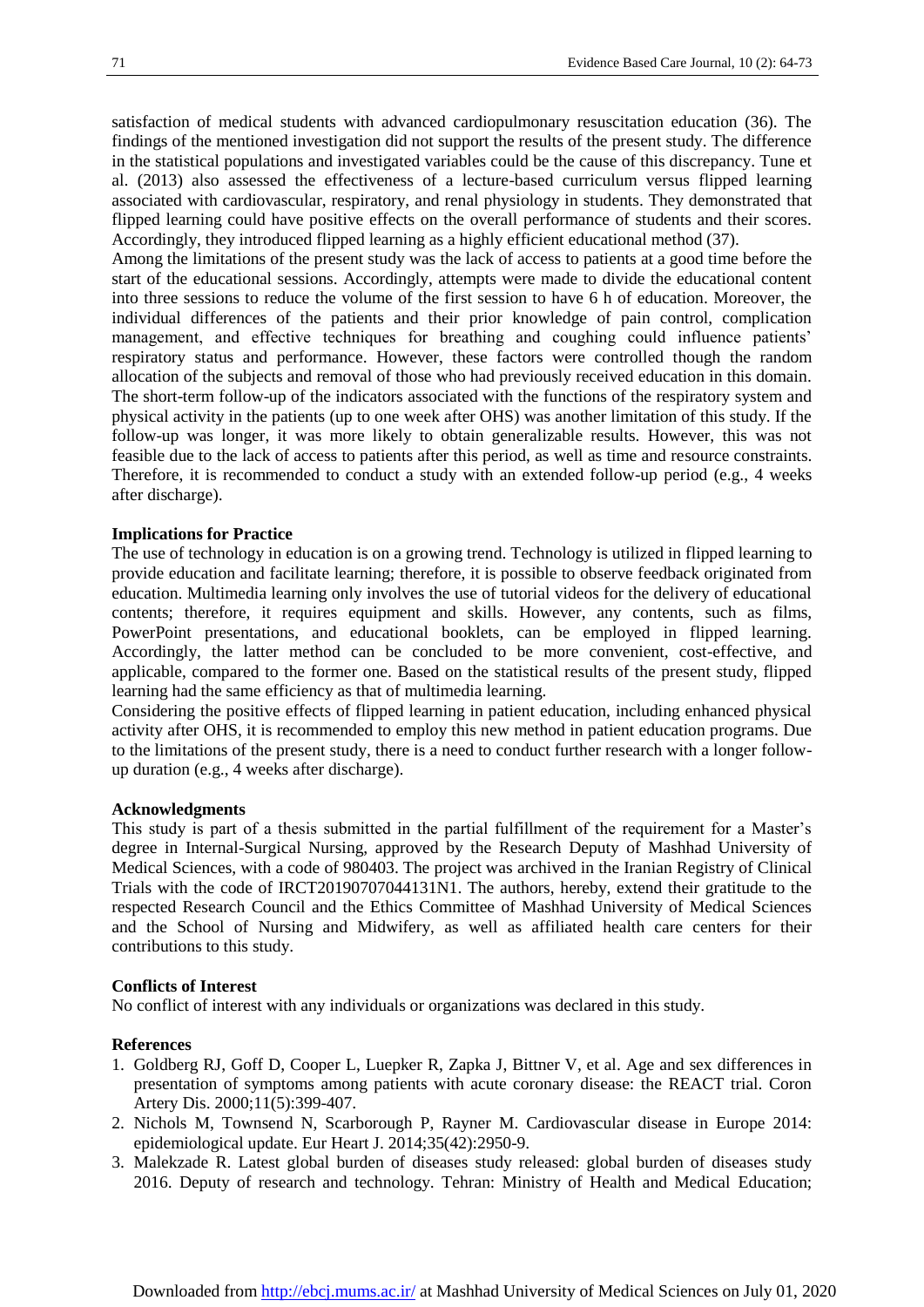satisfaction of medical students with advanced cardiopulmonary resuscitation education (36). The findings of the mentioned investigation did not support the results of the present study. The difference in the statistical populations and investigated variables could be the cause of this discrepancy. Tune et al. (2013) also assessed the effectiveness of a lecture-based curriculum versus flipped learning associated with cardiovascular, respiratory, and renal physiology in students. They demonstrated that flipped learning could have positive effects on the overall performance of students and their scores. Accordingly, they introduced flipped learning as a highly efficient educational method (37).

Among the limitations of the present study was the lack of access to patients at a good time before the start of the educational sessions. Accordingly, attempts were made to divide the educational content into three sessions to reduce the volume of the first session to have 6 h of education. Moreover, the individual differences of the patients and their prior knowledge of pain control, complication management, and effective techniques for breathing and coughing could influence patients' respiratory status and performance. However, these factors were controlled though the random allocation of the subjects and removal of those who had previously received education in this domain. The short-term follow-up of the indicators associated with the functions of the respiratory system and physical activity in the patients (up to one week after OHS) was another limitation of this study. If the follow-up was longer, it was more likely to obtain generalizable results. However, this was not feasible due to the lack of access to patients after this period, as well as time and resource constraints. Therefore, it is recommended to conduct a study with an extended follow-up period (e.g., 4 weeks after discharge).

# **Implications for Practice**

The use of technology in education is on a growing trend. Technology is utilized in flipped learning to provide education and facilitate learning; therefore, it is possible to observe feedback originated from education. Multimedia learning only involves the use of tutorial videos for the delivery of educational contents; therefore, it requires equipment and skills. However, any contents, such as films, PowerPoint presentations, and educational booklets, can be employed in flipped learning. Accordingly, the latter method can be concluded to be more convenient, cost-effective, and applicable, compared to the former one. Based on the statistical results of the present study, flipped learning had the same efficiency as that of multimedia learning.

Considering the positive effects of flipped learning in patient education, including enhanced physical activity after OHS, it is recommended to employ this new method in patient education programs. Due to the limitations of the present study, there is a need to conduct further research with a longer followup duration (e.g., 4 weeks after discharge).

# **Acknowledgments**

This study is part of a thesis submitted in the partial fulfillment of the requirement for a Master's degree in Internal-Surgical Nursing, approved by the Research Deputy of Mashhad University of Medical Sciences, with a code of 980403. The project was archived in the Iranian Registry of Clinical Trials with the code of IRCT20190707044131N1. The authors, hereby, extend their gratitude to the respected Research Council and the Ethics Committee of Mashhad University of Medical Sciences and the School of Nursing and Midwifery, as well as affiliated health care centers for their contributions to this study.

# **Conflicts of Interest**

No conflict of interest with any individuals or organizations was declared in this study.

# **References**

- 1. Goldberg RJ, Goff D, Cooper L, Luepker R, Zapka J, Bittner V, et al. Age and sex differences in presentation of symptoms among patients with acute coronary disease: the REACT trial. Coron Artery Dis. 2000;11(5):399-407.
- 2. Nichols M, Townsend N, Scarborough P, Rayner M. Cardiovascular disease in Europe 2014: epidemiological update. Eur Heart J. 2014;35(42):2950-9.
- 3. Malekzade R. Latest global burden of diseases study released: global burden of diseases study 2016. Deputy of research and technology. Tehran: Ministry of Health and Medical Education;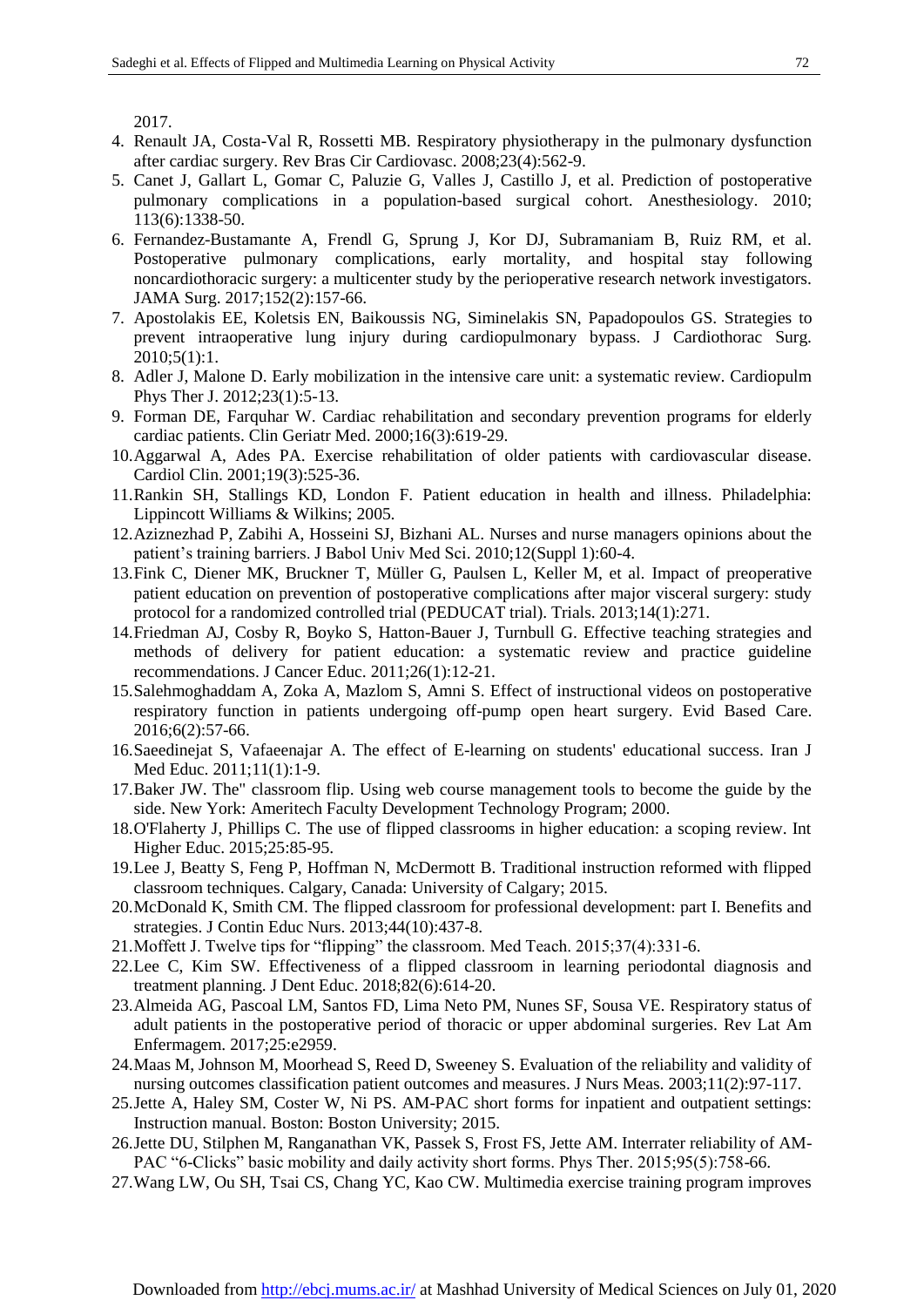2017.

- 4. Renault JA, Costa-Val R, Rossetti MB. Respiratory physiotherapy in the pulmonary dysfunction after cardiac surgery. Rev Bras Cir Cardiovasc. 2008;23(4):562-9.
- 5. Canet J, Gallart L, Gomar C, Paluzie G, Valles J, Castillo J, et al. Prediction of postoperative pulmonary complications in a population-based surgical cohort. Anesthesiology. 2010; 113(6):1338-50.
- 6. Fernandez-Bustamante A, Frendl G, Sprung J, Kor DJ, Subramaniam B, Ruiz RM, et al. Postoperative pulmonary complications, early mortality, and hospital stay following noncardiothoracic surgery: a multicenter study by the perioperative research network investigators. JAMA Surg. 2017;152(2):157-66.
- 7. Apostolakis EE, Koletsis EN, Baikoussis NG, Siminelakis SN, Papadopoulos GS. Strategies to prevent intraoperative lung injury during cardiopulmonary bypass. J Cardiothorac Surg. 2010;5(1):1.
- 8. Adler J, Malone D. Early mobilization in the intensive care unit: a systematic review. Cardiopulm Phys Ther J. 2012;23(1):5-13.
- 9. Forman DE, Farquhar W. Cardiac rehabilitation and secondary prevention programs for elderly cardiac patients. Clin Geriatr Med. 2000;16(3):619-29.
- 10.Aggarwal A, Ades PA. Exercise rehabilitation of older patients with cardiovascular disease. Cardiol Clin. 2001;19(3):525-36.
- 11.Rankin SH, Stallings KD, London F. Patient education in health and illness. Philadelphia: Lippincott Williams & Wilkins; 2005.
- 12.Aziznezhad P, Zabihi A, Hosseini SJ, Bizhani AL. Nurses and nurse managers opinions about the patient's training barriers. J Babol Univ Med Sci. 2010;12(Suppl 1):60-4.
- 13.Fink C, Diener MK, Bruckner T, Müller G, Paulsen L, Keller M, et al. Impact of preoperative patient education on prevention of postoperative complications after major visceral surgery: study protocol for a randomized controlled trial (PEDUCAT trial). Trials. 2013;14(1):271.
- 14.Friedman AJ, Cosby R, Boyko S, Hatton-Bauer J, Turnbull G. Effective teaching strategies and methods of delivery for patient education: a systematic review and practice guideline recommendations. J Cancer Educ. 2011;26(1):12-21.
- 15.Salehmoghaddam A, Zoka A, Mazlom S, Amni S. Effect of instructional videos on postoperative respiratory function in patients undergoing off-pump open heart surgery. Evid Based Care. 2016;6(2):57-66.
- 16.Saeedinejat S, Vafaeenajar A. The effect of E-learning on students' educational success. Iran J Med Educ. 2011;11(1):1-9.
- 17.Baker JW. The" classroom flip. Using web course management tools to become the guide by the side. New York: Ameritech Faculty Development Technology Program; 2000.
- 18.O'Flaherty J, Phillips C. The use of flipped classrooms in higher education: a scoping review. Int Higher Educ. 2015;25:85-95.
- 19.Lee J, Beatty S, Feng P, Hoffman N, McDermott B. Traditional instruction reformed with flipped classroom techniques. Calgary, Canada: University of Calgary; 2015.
- 20.McDonald K, Smith CM. The flipped classroom for professional development: part I. Benefits and strategies. J Contin Educ Nurs. 2013;44(10):437-8.
- 21.Moffett J. Twelve tips for "flipping" the classroom. Med Teach. 2015;37(4):331-6.
- 22.Lee C, Kim SW. Effectiveness of a flipped classroom in learning periodontal diagnosis and treatment planning. J Dent Educ. 2018;82(6):614-20.
- 23.Almeida AG, Pascoal LM, Santos FD, Lima Neto PM, Nunes SF, Sousa VE. Respiratory status of adult patients in the postoperative period of thoracic or upper abdominal surgeries. Rev Lat Am Enfermagem. 2017;25:e2959.
- 24.Maas M, Johnson M, Moorhead S, Reed D, Sweeney S. Evaluation of the reliability and validity of nursing outcomes classification patient outcomes and measures. J Nurs Meas. 2003;11(2):97-117.
- 25.Jette A, Haley SM, Coster W, Ni PS. AM-PAC short forms for inpatient and outpatient settings: Instruction manual. Boston: Boston University; 2015.
- 26.Jette DU, Stilphen M, Ranganathan VK, Passek S, Frost FS, Jette AM. Interrater reliability of AM-PAC "6-Clicks" basic mobility and daily activity short forms. Phys Ther. 2015;95(5):758-66.
- 27.Wang LW, Ou SH, Tsai CS, Chang YC, Kao CW. Multimedia exercise training program improves